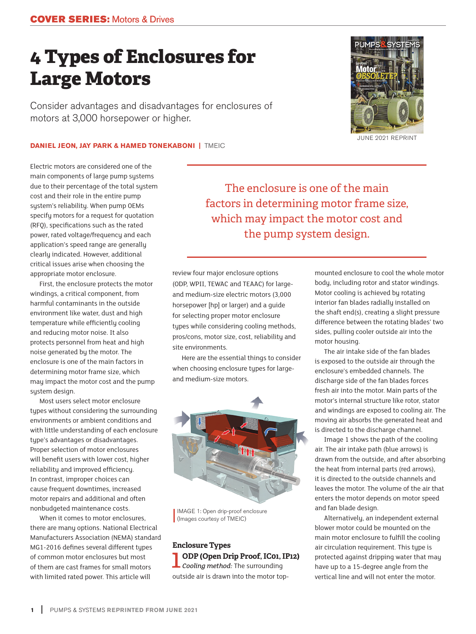# **4 Types of Enclosures for Large Motors**

Consider advantages and disadvantages for enclosures of motors at 3,000 horsepower or higher.

## **DANIEL JEON, JAY PARK & HAMED TONEKABONI | TMEIC**

Electric motors are considered one of the main components of large pump systems due to their percentage of the total system cost and their role in the entire pump system's reliability. When pump OEMs specify motors for a request for quotation (RFQ), specifications such as the rated power, rated voltage/frequency and each application's speed range are generally clearly indicated. However, additional critical issues arise when choosing the appropriate motor enclosure.

First, the enclosure protects the motor windings, a critical component, from harmful contaminants in the outside environment like water, dust and high temperature while efficiently cooling and reducing motor noise. It also protects personnel from heat and high noise generated by the motor. The enclosure is one of the main factors in determining motor frame size, which may impact the motor cost and the pump system design.

Most users select motor enclosure types without considering the surrounding environments or ambient conditions and with little understanding of each enclosure type's advantages or disadvantages. Proper selection of motor enclosures will benefit users with lower cost, higher reliability and improved efficiency. In contrast, improper choices can cause frequent downtimes, increased motor repairs and additional and often nonbudgeted maintenance costs.

When it comes to motor enclosures, there are many options. National Electrical Manufacturers Association (NEMA) standard MG1-2016 defines several different types of common motor enclosures but most of them are cast frames for small motors with limited rated power. This article will

The enclosure is one of the main factors in determining motor frame size, which may impact the motor cost and the pump system design.

review four major enclosure options (ODP, WPII, TEWAC and TEAAC) for largeand medium-size electric motors (3,000 horsepower [hp] or larger) and a guide for selecting proper motor enclosure types while considering cooling methods, pros/cons, motor size, cost, reliability and site environments.

Here are the essential things to consider when choosing enclosure types for largeand medium-size motors.



IMAGE 1: Open drip-proof enclosure (Images courtesy of TMEIC)

**Enclosure Types**  1**ODP (Open Drip Proof, IC01, IP12)**  *Cooling method:* The surrounding outside air is drawn into the motor topmounted enclosure to cool the whole motor body, including rotor and stator windings. Motor cooling is achieved by rotating interior fan blades radially installed on the shaft end(s), creating a slight pressure difference between the rotating blades' two sides, pulling cooler outside air into the motor housing.

The air intake side of the fan blades is exposed to the outside air through the enclosure's embedded channels. The discharge side of the fan blades forces fresh air into the motor. Main parts of the motor's internal structure like rotor, stator and windings are exposed to cooling air. The moving air absorbs the generated heat and is directed to the discharge channel.

Image 1 shows the path of the cooling air. The air intake path (blue arrows) is drawn from the outside, and after absorbing the heat from internal parts (red arrows), it is directed to the outside channels and leaves the motor. The volume of the air that enters the motor depends on motor speed and fan blade design.

Alternatively, an independent external blower motor could be mounted on the main motor enclosure to fulfill the cooling air circulation requirement. This type is protected against dripping water that may have up to a 15-degree angle from the vertical line and will not enter the motor.



JUNE 2021 REPRINT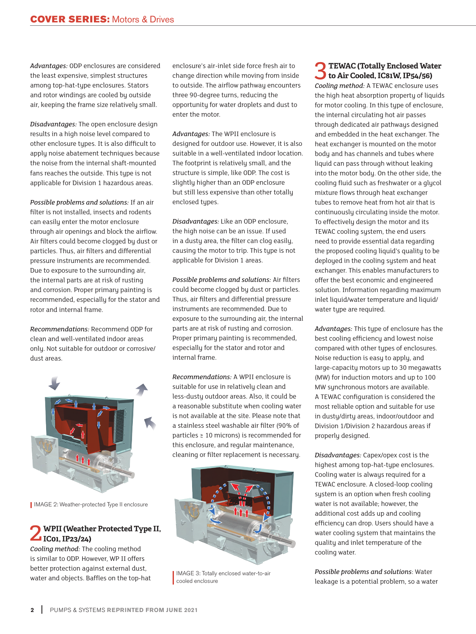*Advantages:* ODP enclosures are considered the least expensive, simplest structures among top-hat-type enclosures. Stators and rotor windings are cooled by outside air, keeping the frame size relatively small.

*Disadvantages:* The open enclosure design results in a high noise level compared to other enclosure types. It is also difficult to apply noise abatement techniques because the noise from the internal shaft-mounted fans reaches the outside. This type is not applicable for Division 1 hazardous areas.

*Possible problems and solutions:* If an air filter is not installed, insects and rodents can easily enter the motor enclosure through air openings and block the airflow. Air filters could become clogged by dust or particles. Thus, air filters and differential pressure instruments are recommended. Due to exposure to the surrounding air, the internal parts are at risk of rusting and corrosion. Proper primary painting is recommended, especially for the stator and rotor and internal frame.

*Recommendations:* Recommend ODP for clean and well-ventilated indoor areas only. Not suitable for outdoor or corrosive/ dust areas.



IMAGE 2: Weather-protected Type II enclosure

### 2**WPII (Weather Protected Type II, IC01, IP23/24)**

*Cooling method:* The cooling method is similar to ODP. However, WP II offers better protection against external dust, water and objects. Baffles on the top-hat enclosure's air-inlet side force fresh air to change direction while moving from inside to outside. The airflow pathway encounters three 90-degree turns, reducing the opportunity for water droplets and dust to enter the motor.

*Advantages:* The WPII enclosure is designed for outdoor use. However, it is also suitable in a well-ventilated indoor location. The footprint is relatively small, and the structure is simple, like ODP. The cost is slightly higher than an ODP enclosure but still less expensive than other totally enclosed types.

*Disadvantages:* Like an ODP enclosure, the high noise can be an issue. If used in a dusty area, the filter can clog easily, causing the motor to trip. This type is not applicable for Division 1 areas.

*Possible problems and solutions:* Air filters could become clogged by dust or particles. Thus, air filters and differential pressure instruments are recommended. Due to exposure to the surrounding air, the internal parts are at risk of rusting and corrosion. Proper primary painting is recommended, especially for the stator and rotor and internal frame.

*Recommendations:* A WPII enclosure is suitable for use in relatively clean and less-dusty outdoor areas. Also, it could be a reasonable substitute when cooling water is not available at the site. Please note that a stainless steel washable air filter (90% of particles ≥ 10 microns) is recommended for this enclosure, and regular maintenance, cleaning or filter replacement is necessary.



IMAGE 3: Totally enclosed water-to-air cooled enclosure

3**TEWAC (Totally Enclosed Water to Air Cooled, IC81W, IP54/56)**  *Cooling method:* A TEWAC enclosure uses the high heat absorption property of liquids for motor cooling. In this type of enclosure, the internal circulating hot air passes through dedicated air pathways designed and embedded in the heat exchanger. The heat exchanger is mounted on the motor body and has channels and tubes where liquid can pass through without leaking into the motor body. On the other side, the cooling fluid such as freshwater or a glycol mixture flows through heat exchanger tubes to remove heat from hot air that is continuously circulating inside the motor. To effectively design the motor and its TEWAC cooling system, the end users need to provide essential data regarding the proposed cooling liquid's quality to be deployed in the cooling system and heat exchanger. This enables manufacturers to offer the best economic and engineered solution. Information regarding maximum inlet liquid/water temperature and liquid/ water type are required.

*Advantages:* This type of enclosure has the best cooling efficiency and lowest noise compared with other types of enclosures. Noise reduction is easy to apply, and large-capacity motors up to 30 megawatts (MW) for induction motors and up to 100 MW synchronous motors are available. A TEWAC configuration is considered the most reliable option and suitable for use in dusty/dirty areas, indoor/outdoor and Division 1/Division 2 hazardous areas if properly designed.

*Disadvantages:* Capex/opex cost is the highest among top-hat-type enclosures. Cooling water is always required for a TEWAC enclosure. A closed-loop cooling system is an option when fresh cooling water is not available; however, the additional cost adds up and cooling efficiency can drop. Users should have a water cooling system that maintains the quality and inlet temperature of the cooling water.

*Possible problems and solutions*: Water leakage is a potential problem, so a water